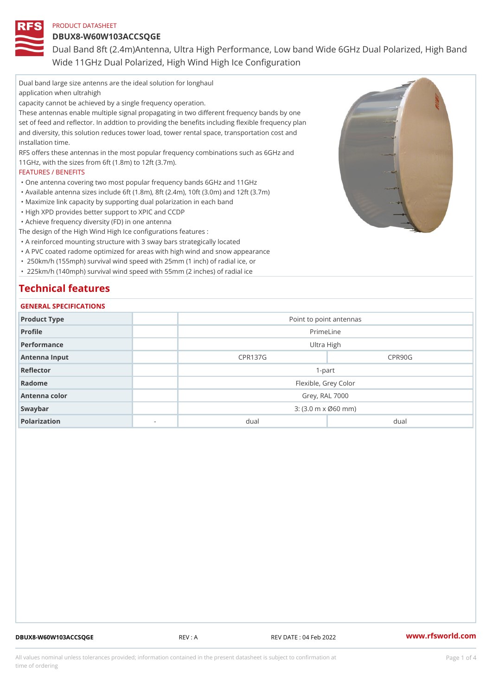DBUX8-W60W103ACCSQGE

Dual Band 8ft (2.4m)Antenna, Ultra High Performance, Low band Wide Wide 11GHz Dual Polarized, High Wind High Ice Configuration

Dual band large size antenns are the ideal solution for longhaul application when ultrahigh capacity cannot be achieved by a single frequency operation. These antennas enable multiple signal propagating in two different frequency bands by one set of feed and reflector. In addtion to providing the benefits including flexible frequency plan and diversity, this solution reduces tower load, tower rental space, transportation cost and installation time. RFS offers these antennas in the most popular frequency combinations such as 6GHz and 11GHz, with the sizes from 6ft (1.8m) to 12ft (3.7m). FEATURES / BENEFITS "One antenna covering two most popular frequency bands 6GHz and 11GHz "Available antenna sizes include 6ft (1.8m), 8ft (2.4m), 10ft (3.0m) and 12ft (3.7m) "Maximize link capacity by supporting dual polarization in each band "High XPD provides better support to XPIC and CCDP "Achieve frequency diversity (FD) in one antenna The design of the High Wind High Ice configurations features : "A reinforced mounting structure with 3 sway bars strategically located "A PVC coated radome optimized for areas with high wind and snow appearance " 250km/h (155mph) survival wind speed with 25mm (1 inch) of radial ice, or " 225km/h (140mph) survival wind speed with 55mm (2 inches) of radial ice Technical features

# GENERAL SPECIFICATIONS Product Type **Point to point antennas** Profile PrimeLine Performance and the settlement of the Ultra High settlement of the Ultra High Antenna Input No. 2006 No. 2010 No. 2010 No. 2010 No. 2010 No. 2010 No. 2010 No. 2010 No. 2010 No. 2010 No. 20<br>20 No. 2010 No. 2010 No. 2010 No. 2010 No. 2010 No. 2010 No. 2010 No. 2010 No. 2010 No. 2010 No. 2010 No. 2010 Reflector 1-part Radome **Flexible, Grey Color** Antenna color Grey, RAL 7000 Swaybar 3: (3.0 m x Ø60 mm) Polarization - dual dual

DBUX8-W60W103ACCSQGE REV : A REV DATE : 04 Feb 2022 [www.](https://www.rfsworld.com)rfsworld.com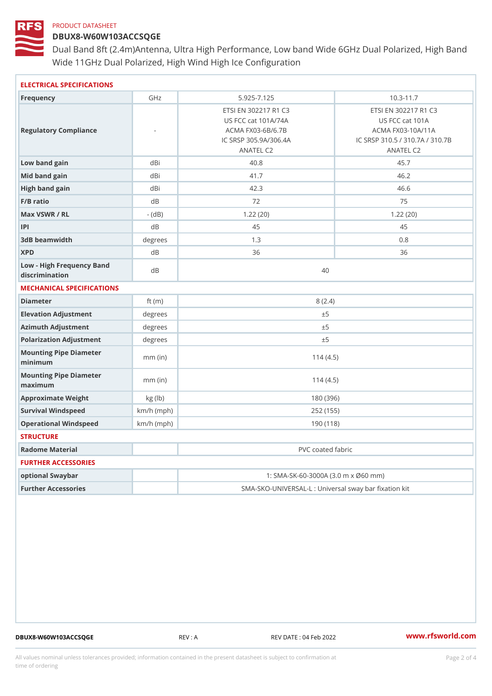## DBUX8-W60W103ACCSQGE

Dual Band 8ft (2.4m)Antenna, Ultra High Performance, Low band Wide Wide 11GHz Dual Polarized, High Wind High Ice Configuration

| ELECTRICAL SPECIFICATIONS                     |              |                                                                                                        |                                                                                                     |  |
|-----------------------------------------------|--------------|--------------------------------------------------------------------------------------------------------|-----------------------------------------------------------------------------------------------------|--|
| Frequency                                     | GHz          | $5.925 - 7.125$                                                                                        | $10.3 - 11.7$                                                                                       |  |
| Regulatory Compliance                         |              | ETSI EN 302217 R1 C3<br>US FCC cat 101A/74A<br>ACMA FX03-6B/6.7B<br>IC SRSP 305.9A/306.4A<br>ANATEL C2 | ETSI EN 302217 R1 C3<br>US FCC cat 101A<br>ACMA FX03-10A/11A<br>IC SRSP 310.5 / 310.7A<br>ANATEL C2 |  |
| Low band gain                                 | dBi          | 40.8                                                                                                   | 45.7                                                                                                |  |
| Mid band gain                                 | dBi          | 41.7                                                                                                   | 46.2                                                                                                |  |
| High band gain                                | dBi          | 42.3<br>46.6                                                                                           |                                                                                                     |  |
| $F/B$ ratio                                   | d B          | 72                                                                                                     | 75                                                                                                  |  |
| Max VSWR / RL                                 | $-$ (dB)     | 1.22(20)                                                                                               | 1.22(20)                                                                                            |  |
| P                                             | d B          | 45                                                                                                     | 45                                                                                                  |  |
| 3dB beamwidth                                 | degrees      | 1.3                                                                                                    | 0.8                                                                                                 |  |
| <b>XPD</b>                                    | d B          | 36                                                                                                     | 36                                                                                                  |  |
| Low - High Frequency Band<br>discrimination   | dB           | 40                                                                                                     |                                                                                                     |  |
| MECHANICAL SPECIFICATIONS                     |              |                                                                                                        |                                                                                                     |  |
| Diameter                                      | ft $(m)$     | 8(2.4)                                                                                                 |                                                                                                     |  |
| Elevation Adjustment                          | degrees      | ± 5                                                                                                    |                                                                                                     |  |
| Azimuth Adjustment                            | degrees      | ± 5                                                                                                    |                                                                                                     |  |
| Polarization Adjustment                       | degrees      | ± 5                                                                                                    |                                                                                                     |  |
| Mounting Pipe Diameter<br>minimum             | $mm$ (in)    | 114(4.5)                                                                                               |                                                                                                     |  |
| Mounting Pipe Diameter<br>$m$ a x i $m$ u $m$ | $mm$ (in)    | 114(4.5)                                                                                               |                                                                                                     |  |
| Approximate Weight                            | kg (1b)      | 180 (396)                                                                                              |                                                                                                     |  |
| Survival Windspeed                            | $km/h$ (mph) | 252 (155)                                                                                              |                                                                                                     |  |
| Operational Windspeed                         | $km/h$ (mph) | 190 (118)                                                                                              |                                                                                                     |  |
| <b>STRUCTURE</b>                              |              |                                                                                                        |                                                                                                     |  |
| Radome Material                               |              | PVC coated fabric                                                                                      |                                                                                                     |  |
| FURTHER ACCESSORIES                           |              |                                                                                                        |                                                                                                     |  |
| optional Swaybar                              |              | 1: SMA-SK-60-3000A (3.0 m x Ø60 mm)                                                                    |                                                                                                     |  |
| Further Accessories                           |              | SMA-SKO-UNIVERSAL-L : Universal sway bar fixation                                                      |                                                                                                     |  |

DBUX8-W60W103ACCSQGE REV : A REV DATE : 04 Feb 2022 WWW.rfsworld.com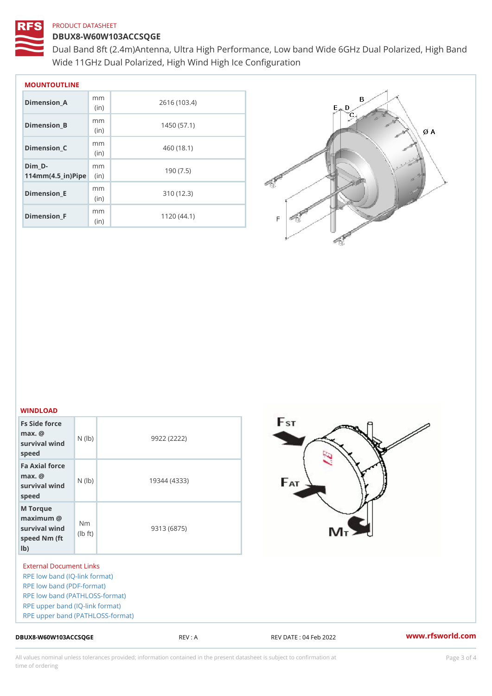### DBUX8-W60W103ACCSQGE

Dual Band 8ft (2.4m)Antenna, Ultra High Performance, Low band Wide Wide 11GHz Dual Polarized, High Wind High Ice Configuration

| MOUNTOUTLINE                                    |              |              |  |  |
|-------------------------------------------------|--------------|--------------|--|--|
| Dimension_A                                     | m m<br>(i n) | 2616 (103.4) |  |  |
| Dimension B                                     | m m<br>(i n) | 1450 (57.1)  |  |  |
| Dimension C                                     | m m<br>(i n) | 460 (18.1)   |  |  |
| Dim D-<br>$114$ m m (4.5 _ i r ) $\sqrt{$ imple | m m          | 190(7.5)     |  |  |
| Dimension_E                                     | m m<br>(i n) | 310(12.3)    |  |  |
| Dimension F                                     | m m<br>(in   | 1120(44.1)   |  |  |

#### WINDLOAD

| .                                                                                                                   |              |  |
|---------------------------------------------------------------------------------------------------------------------|--------------|--|
| Fs Side force<br>$max.$ @<br>survival wind $(\vert b)$<br>speed                                                     | 9922 (2222)  |  |
| Fa Axial force<br>$max.$ @<br>$S$ $\begin{bmatrix} 1 & 0 & 0 \\ 0 & 1 & 0 \\ 0 & 0 & 0 \end{bmatrix}$ (lp)<br>speed | 19344 (4333) |  |
| M Torque<br>$maximum$ $@$<br>survival wind<br>speed Nm ( $\begin{bmatrix} Nm \\ (lb \\ t) \end{bmatrix}$<br>$1b$ )  | 9313 (6875)  |  |
|                                                                                                                     |              |  |

External Document Links [RPE low band \(IQ-l](https://www.rfsworld.com/images/sma/rpe/dbux8/dbux8-w60w103a_l (5.925-7.125), 20201104.adf)ink format) [RPE low band \(PD](https://www.rfsworld.com/images/sma/rpe/dbux8/dbux8-w60w103a_l (5.925-7.125), 20201104.pdf)F-format) [RPE low band \(PATHL](https://www.rfsworld.com/images/sma/rpe/dbux8/dbux8-w60w103a_l (5.925-7.125), 20201104.txt)OSS-format) [RPE upper band \(IQ-](https://www.rfsworld.com/images/sma/rpe/dbux8/dbux8-w60w103a_u (10.3-11.7), 20201103.adf)link format) [RPE upper band \(PATHL](https://www.rfsworld.com/images/sma/rpe/dbux8/dbux8-w60w103a_u (10.3-11.7), 20201103.txt)OSS-format)

DBUX8-W60W103ACCSQGE REV : A REV DATE : 04 Feb 2022 WWW.rfsworld.com

All values nominal unless tolerances provided; information contained in the present datasheet is subject to Pcapgeling that i time of ordering